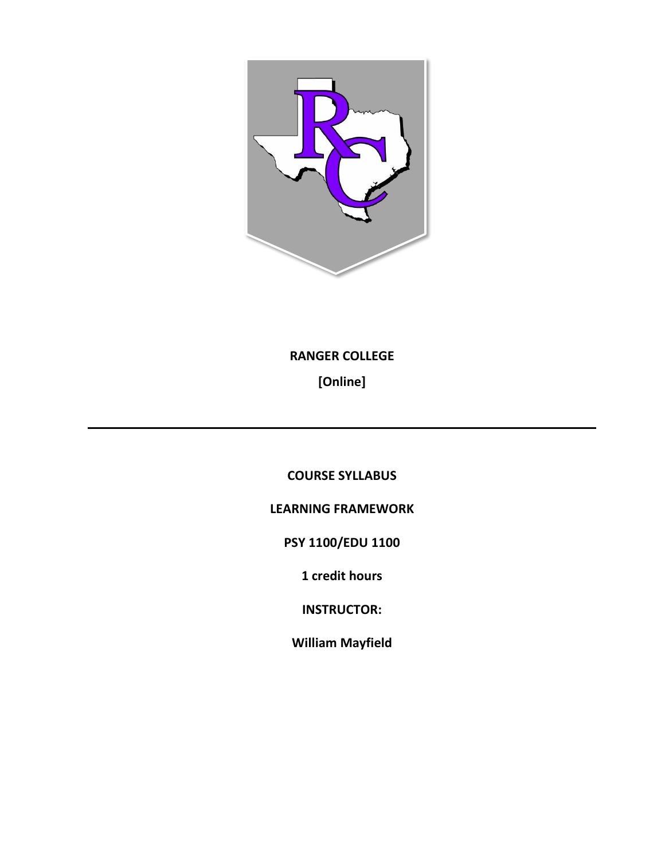

**RANGER COLLEGE**

**[Online]**

**COURSE SYLLABUS**

**LEARNING FRAMEWORK**

**PSY 1100/EDU 1100**

**1 credit hours**

**INSTRUCTOR:**

**William Mayfield**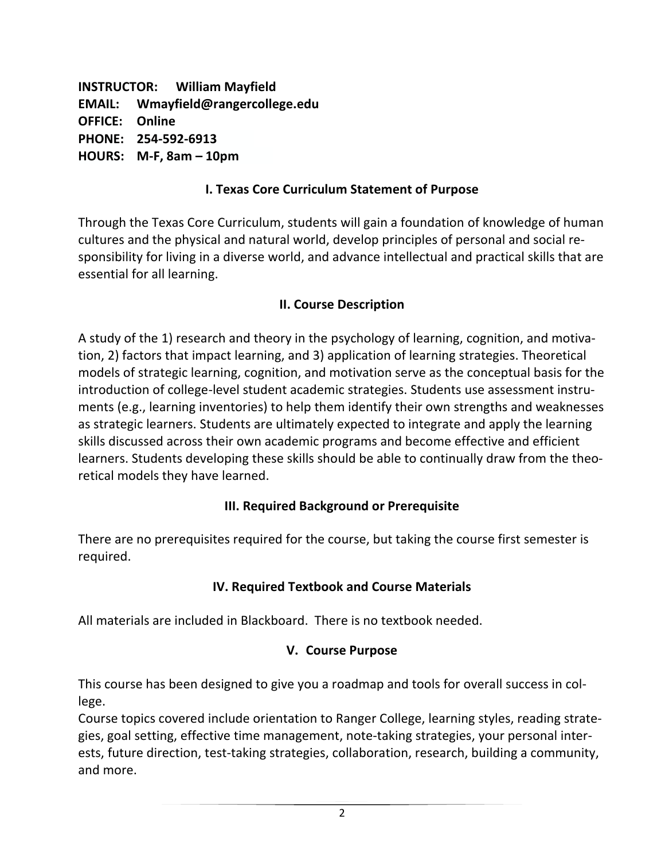**INSTRUCTOR: William Mayfield EMAIL: Wmayfield@rangercollege.edu OFFICE: Online PHONE: 254-592-6913 HOURS: M-F, 8am – 10pm**

# **I. Texas Core Curriculum Statement of Purpose**

Through the Texas Core Curriculum, students will gain a foundation of knowledge of human cultures and the physical and natural world, develop principles of personal and social responsibility for living in a diverse world, and advance intellectual and practical skills that are essential for all learning.

### **II. Course Description**

A study of the 1) research and theory in the psychology of learning, cognition, and motivation, 2) factors that impact learning, and 3) application of learning strategies. Theoretical models of strategic learning, cognition, and motivation serve as the conceptual basis for the introduction of college-level student academic strategies. Students use assessment instruments (e.g., learning inventories) to help them identify their own strengths and weaknesses as strategic learners. Students are ultimately expected to integrate and apply the learning skills discussed across their own academic programs and become effective and efficient learners. Students developing these skills should be able to continually draw from the theoretical models they have learned.

### **III. Required Background or Prerequisite**

There are no prerequisites required for the course, but taking the course first semester is required.

### **IV. Required Textbook and Course Materials**

All materials are included in Blackboard. There is no textbook needed.

### **V. Course Purpose**

This course has been designed to give you a roadmap and tools for overall success in college.

Course topics covered include orientation to Ranger College, learning styles, reading strategies, goal setting, effective time management, note-taking strategies, your personal interests, future direction, test-taking strategies, collaboration, research, building a community, and more.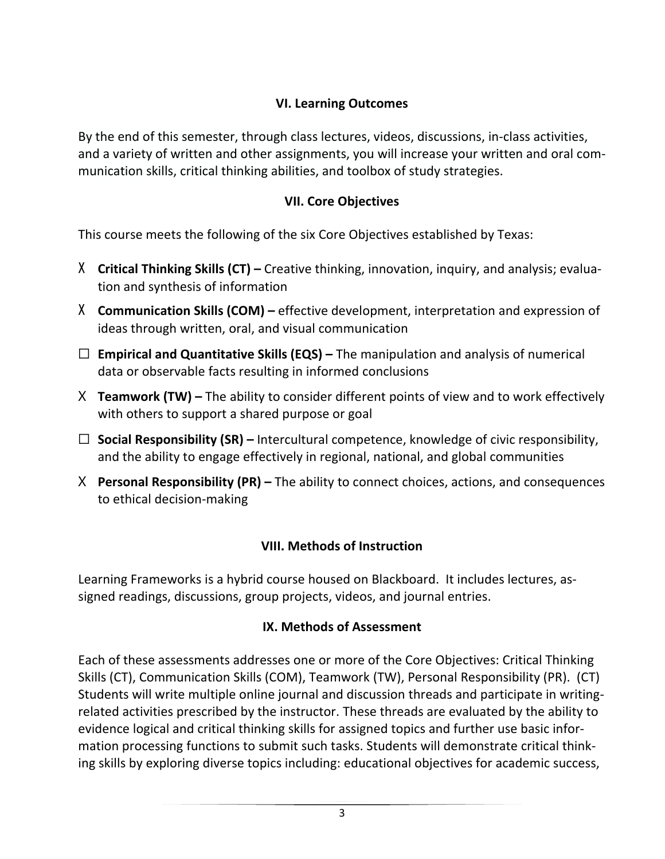# **VI. Learning Outcomes**

By the end of this semester, through class lectures, videos, discussions, in-class activities, and a variety of written and other assignments, you will increase your written and oral communication skills, critical thinking abilities, and toolbox of study strategies.

# **VII. Core Objectives**

This course meets the following of the six Core Objectives established by Texas:

- X **Critical Thinking Skills (CT) –** Creative thinking, innovation, inquiry, and analysis; evaluation and synthesis of information
- X **Communication Skills (COM) –** effective development, interpretation and expression of ideas through written, oral, and visual communication
- ☐ **Empirical and Quantitative Skills (EQS) –** The manipulation and analysis of numerical data or observable facts resulting in informed conclusions
- X **Teamwork (TW) –** The ability to consider different points of view and to work effectively with others to support a shared purpose or goal
- ☐ **Social Responsibility (SR) –** Intercultural competence, knowledge of civic responsibility, and the ability to engage effectively in regional, national, and global communities
- X **Personal Responsibility (PR) –** The ability to connect choices, actions, and consequences to ethical decision-making

# **VIII. Methods of Instruction**

Learning Frameworks is a hybrid course housed on Blackboard. It includes lectures, assigned readings, discussions, group projects, videos, and journal entries.

# **IX. Methods of Assessment**

Each of these assessments addresses one or more of the Core Objectives: Critical Thinking Skills (CT), Communication Skills (COM), Teamwork (TW), Personal Responsibility (PR). (CT) Students will write multiple online journal and discussion threads and participate in writingrelated activities prescribed by the instructor. These threads are evaluated by the ability to evidence logical and critical thinking skills for assigned topics and further use basic information processing functions to submit such tasks. Students will demonstrate critical thinking skills by exploring diverse topics including: educational objectives for academic success,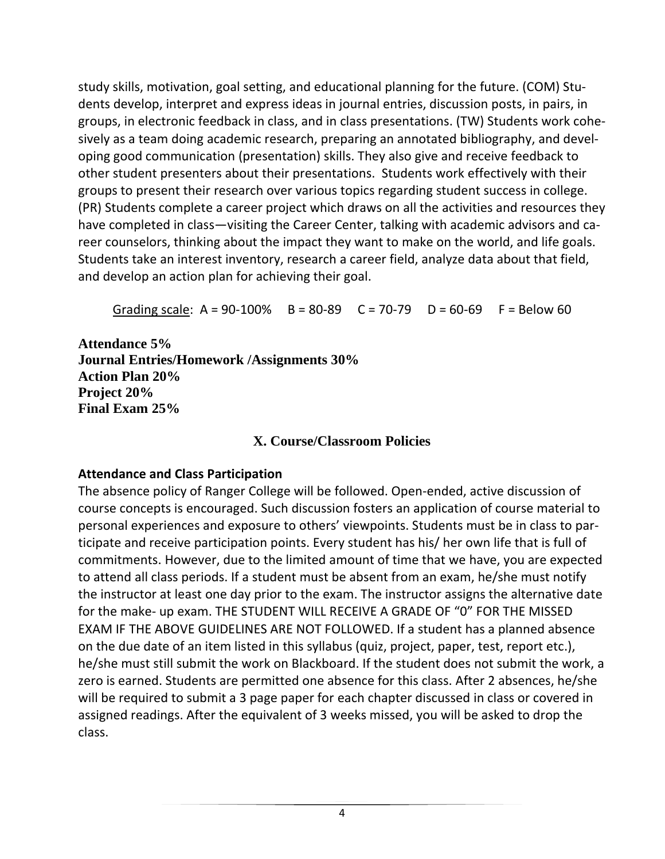study skills, motivation, goal setting, and educational planning for the future. (COM) Students develop, interpret and express ideas in journal entries, discussion posts, in pairs, in groups, in electronic feedback in class, and in class presentations. (TW) Students work cohesively as a team doing academic research, preparing an annotated bibliography, and developing good communication (presentation) skills. They also give and receive feedback to other student presenters about their presentations. Students work effectively with their groups to present their research over various topics regarding student success in college. (PR) Students complete a career project which draws on all the activities and resources they have completed in class—visiting the Career Center, talking with academic advisors and career counselors, thinking about the impact they want to make on the world, and life goals. Students take an interest inventory, research a career field, analyze data about that field, and develop an action plan for achieving their goal.

Grading scale:  $A = 90-100\%$  B = 80-89 C = 70-79 D = 60-69 F = Below 60

**Attendance 5% Journal Entries/Homework /Assignments 30% Action Plan 20% Project 20% Final Exam 25%**

# **X. Course/Classroom Policies**

# **Attendance and Class Participation**

The absence policy of Ranger College will be followed. Open-ended, active discussion of course concepts is encouraged. Such discussion fosters an application of course material to personal experiences and exposure to others' viewpoints. Students must be in class to participate and receive participation points. Every student has his/ her own life that is full of commitments. However, due to the limited amount of time that we have, you are expected to attend all class periods. If a student must be absent from an exam, he/she must notify the instructor at least one day prior to the exam. The instructor assigns the alternative date for the make- up exam. THE STUDENT WILL RECEIVE A GRADE OF "0" FOR THE MISSED EXAM IF THE ABOVE GUIDELINES ARE NOT FOLLOWED. If a student has a planned absence on the due date of an item listed in this syllabus (quiz, project, paper, test, report etc.), he/she must still submit the work on Blackboard. If the student does not submit the work, a zero is earned. Students are permitted one absence for this class. After 2 absences, he/she will be required to submit a 3 page paper for each chapter discussed in class or covered in assigned readings. After the equivalent of 3 weeks missed, you will be asked to drop the class.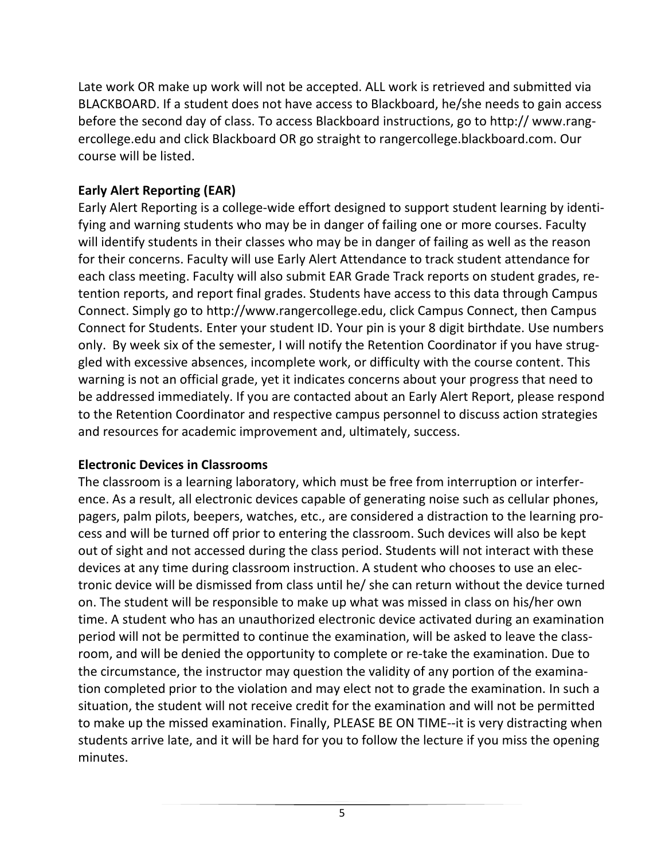Late work OR make up work will not be accepted. ALL work is retrieved and submitted via BLACKBOARD. If a student does not have access to Blackboard, he/she needs to gain access before the second day of class. To access Blackboard instructions, go to http:// www.rangercollege.edu and click Blackboard OR go straight to rangercollege.blackboard.com. Our course will be listed.

# **Early Alert Reporting (EAR)**

Early Alert Reporting is a college-wide effort designed to support student learning by identifying and warning students who may be in danger of failing one or more courses. Faculty will identify students in their classes who may be in danger of failing as well as the reason for their concerns. Faculty will use Early Alert Attendance to track student attendance for each class meeting. Faculty will also submit EAR Grade Track reports on student grades, retention reports, and report final grades. Students have access to this data through Campus Connect. Simply go to http://www.rangercollege.edu, click Campus Connect, then Campus Connect for Students. Enter your student ID. Your pin is your 8 digit birthdate. Use numbers only. By week six of the semester, I will notify the Retention Coordinator if you have struggled with excessive absences, incomplete work, or difficulty with the course content. This warning is not an official grade, yet it indicates concerns about your progress that need to be addressed immediately. If you are contacted about an Early Alert Report, please respond to the Retention Coordinator and respective campus personnel to discuss action strategies and resources for academic improvement and, ultimately, success.

### **Electronic Devices in Classrooms**

The classroom is a learning laboratory, which must be free from interruption or interference. As a result, all electronic devices capable of generating noise such as cellular phones, pagers, palm pilots, beepers, watches, etc., are considered a distraction to the learning process and will be turned off prior to entering the classroom. Such devices will also be kept out of sight and not accessed during the class period. Students will not interact with these devices at any time during classroom instruction. A student who chooses to use an electronic device will be dismissed from class until he/ she can return without the device turned on. The student will be responsible to make up what was missed in class on his/her own time. A student who has an unauthorized electronic device activated during an examination period will not be permitted to continue the examination, will be asked to leave the classroom, and will be denied the opportunity to complete or re-take the examination. Due to the circumstance, the instructor may question the validity of any portion of the examination completed prior to the violation and may elect not to grade the examination. In such a situation, the student will not receive credit for the examination and will not be permitted to make up the missed examination. Finally, PLEASE BE ON TIME--it is very distracting when students arrive late, and it will be hard for you to follow the lecture if you miss the opening minutes.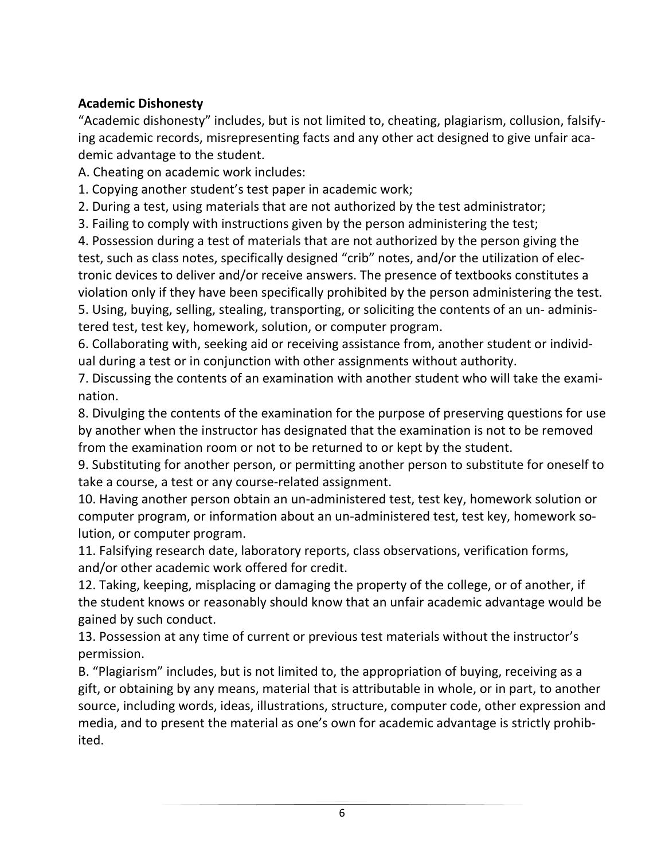# **Academic Dishonesty**

"Academic dishonesty" includes, but is not limited to, cheating, plagiarism, collusion, falsifying academic records, misrepresenting facts and any other act designed to give unfair academic advantage to the student.

A. Cheating on academic work includes:

1. Copying another student's test paper in academic work;

2. During a test, using materials that are not authorized by the test administrator;

3. Failing to comply with instructions given by the person administering the test;

4. Possession during a test of materials that are not authorized by the person giving the test, such as class notes, specifically designed "crib" notes, and/or the utilization of electronic devices to deliver and/or receive answers. The presence of textbooks constitutes a violation only if they have been specifically prohibited by the person administering the test. 5. Using, buying, selling, stealing, transporting, or soliciting the contents of an un- administered test, test key, homework, solution, or computer program.

6. Collaborating with, seeking aid or receiving assistance from, another student or individual during a test or in conjunction with other assignments without authority.

7. Discussing the contents of an examination with another student who will take the examination.

8. Divulging the contents of the examination for the purpose of preserving questions for use by another when the instructor has designated that the examination is not to be removed from the examination room or not to be returned to or kept by the student.

9. Substituting for another person, or permitting another person to substitute for oneself to take a course, a test or any course-related assignment.

10. Having another person obtain an un-administered test, test key, homework solution or computer program, or information about an un-administered test, test key, homework solution, or computer program.

11. Falsifying research date, laboratory reports, class observations, verification forms, and/or other academic work offered for credit.

12. Taking, keeping, misplacing or damaging the property of the college, or of another, if the student knows or reasonably should know that an unfair academic advantage would be gained by such conduct.

13. Possession at any time of current or previous test materials without the instructor's permission.

B. "Plagiarism" includes, but is not limited to, the appropriation of buying, receiving as a gift, or obtaining by any means, material that is attributable in whole, or in part, to another source, including words, ideas, illustrations, structure, computer code, other expression and media, and to present the material as one's own for academic advantage is strictly prohibited.